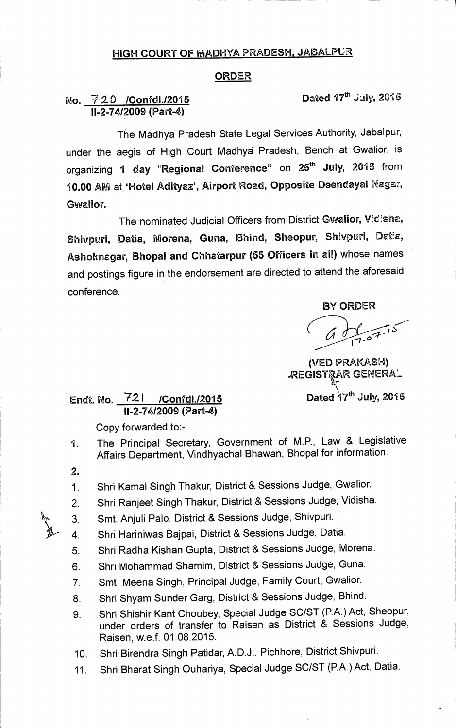## **HIGH COURT OF MADHYA PRADESH, JABALPUR**

## **ORDER**

## **No. 720 / Confdl./2015 Dated 17th July, 2015 11-2-74/2009 (Part-4)**

**The Madhya Pradesh State Legal Services Authority, Jabalpur, under the aegis of High Court Madhya Pradesh, Bench at Gwalior, is**  organizing 1 day "Regional Conference" on 25<sup>th</sup> July, 2015 from 10.00 AM at 'Hotel Adityaz', Airport Road, Opposite Deendayal Nagar, **Gwalior.** 

The nominated Judicial Officers from District Gwalior, Vidisha, Shivpuri, Datia, Morena, Guna, Bhind, Sheopur, Shivpuri, Datia, **Ashoknagar, Bhopal and Chhatarpur (55 Officers in all) whose names and postings figure in the endorsement are directed to attend the aforesaid conference.** 

**BY ORDER** 

**(VED PRA(ASH) AEGISTIAR GENERAL Dated 17<sup>th</sup> July, 2015** 

## **Endt. No. 42 I /Confdl./2015 11-2-74/2009 (Part-4)**

**Copy forwarded to:-** 

- **1. The Principal Secretary, Government of M.P., Law & Legislative Affairs Department, Vindhyachal Bhawan, Bhopal for information.**
- **2.**
- **1. Shri Kamal Singh Thakur, District & Sessions Judge, Gwalior.**
- **2. Shri Ranjeet Singh Thakur, District & Sessions Judge, Vidisha.**
- **3. Smt. Anjuli Palo, District & Sessions Judge, Shivpuri.**
- **4. Shri Hariniwas Bajpai, District & Sessions Judge, Datia.**
- **5. Shri Radha Kishan Gupta, District & Sessions Judge, Morena.**
- **6. Shri Mohammad Shamim, District & Sessions Judge, Guna.**
- **7. Smt. Meena Singh, Principal Judge, Family Court, Gwalior.**
- **8. Shri Shyam Sunder Garg, District & Sessions Judge, Bhind.**
- **9. Shri Shishir Kant Choubey, Special Judge SC/ST (P.A.) Act, Sheopur, under orders of transfer to Raisen as District & Sessions Judge, Raisen, w.e.f. 01.08.2015.**
- **10. Shri Birendra Singh Patidar, A.D.J., Pichhore, District Shivpuri.**
- **11. Shri Bharat Singh Ouhariya, Special Judge SC/ST (P.A.) Act, Datia.**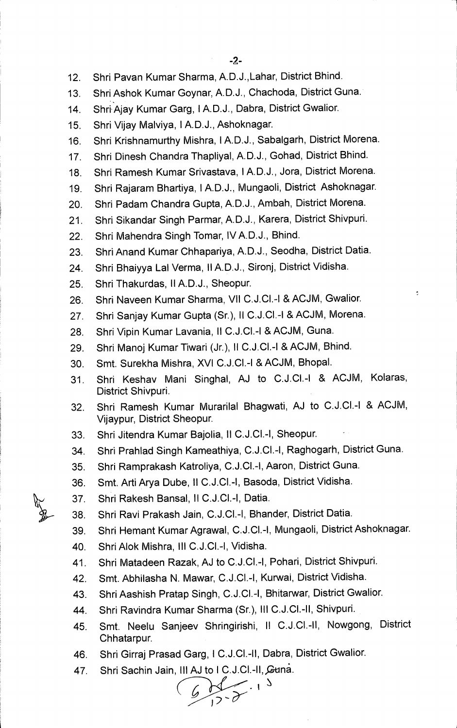- **12. Shri Pavan Kumar Sharma, A.D.J.,Lahar, District Bhind.**
- **13. Shri Ashok Kumar Goynar, A.D.J., Chachoda, District Guna.**
- **14. Shri'Ajay Kumar Garg, IA.D.J., Dabra, District Gwalior.**
- **15. Shri Vijay Malviya, IA.D.J., Ashoknagar.**
- **16. Shri Krishnamurthy Mishra, IA.D.J., Sabalgarh, District Morena.**
- **17. Shri Dinesh Chandra Thapliyal, A.D.J., Gohad, District Bhind.**
- **18. Shri Ramesh Kumar Srivastava, IA.D.J., Jora, District Morena.**
- **19. Shri Rajaram Bhartiya, 1A.D.J., Mungaoli, District Ashoknagar.**
- **20. Shri Padam Chandra Gupta, A.D.J., Ambah, District Morena.**
- **21. Shri Sikandar Singh Parmar, A.D.J., Karera, District Shivpuri.**
- **22. Shri Mahendra Singh Tomar, IV A.D.J., Bhind.**
- **23. Shri Anand Kumar Chhapariya, A.D.J., Seodha, District Datia.**
- **24. Shri Bhaiyya Lal Verma, II A.D.J., Sironj, District Vidisha.**
- **25. Shri Thakurdas, II A.D.J., Sheopur.**
- **26. Shri Naveen Kumar Sharma, VII C.J.C1.-I & ACJM, Gwalior.**
- **27. Shri Sanjay Kumar Gupta (Sr.), II C.J.CI.-1 & ACJM, Morena.**
- **28. Shri Vipin Kumar Lavania, II C.J.C1.-I & ACJM, Guna.**
- **29. Shri Manoj Kumar Tiwari (Jr.), II C.J.C1.-I & ACJM, Bhind.**
- **30. Smt. Surekha Mishra, XVI C.J.C1.-I & ACJM, Bhopal.**
- **31. Shri Keshav Mani Singhal, AJ to C.J.C1.-I & ACJM, Kolaras, District Shivpuri.**
- **32. Shri Ramesh Kumar Murarilal Bhagwati, AJ to C.J.C1.-I & ACJM, Vijaypur, District Sheopur.**
- **33. Shri Jitendra Kumar Bajolia, II C.J.C1.-I, Sheopur.**
- **34. Shri Prahlad Singh Kameathiya, C.J.C1.-I, Raghogarh, District Guna.**
- **35. Shri Ramprakash Katroliya, C.J.C1.-I, Aaron, District Guna.**
- **36. Smt. Arti Arya Dube, II C.J.C1.-I, Basoda, District Vidisha.**
- **37. Shri Rakesh Bansal, II C.J.C1.-I, Datia.**
- **38. Shri Ravi Prakash Jain, C.J.C1.-I, Bhander, District Datia.**
- **39. Shri Hemant Kumar Agrawal, C.J.C1.-I, Mungaoli, District Ashoknagar.**
- **40. Shri Alok Mishra, III C.J.C1.-I, Vidisha.**
- **41. Shri Matadeen Razak, AJ to C.J.C1.-I, Pohari, District Shivpuri.**
- **42. Smt. Abhilasha N. Mawar, C.J.C1.-I, Kurwai, District Vidisha.**
- **43. Shri Aashish Pratap Singh, C.J.C1.-I, Bhitarwar, District Gwalior.**
- **44. Shri Ravindra Kumar Sharma (Sr.), III C.J.C1.-II, Shivpuri.**
- **45. Smt. Neelu Sanjeev Shringirishi, II C.J.C1.-II, Nowgong, District Chhatarpur.**
- **46. Shri Girraj Prasad Garg, 1 C.J.C1.-II, Dabra, District Gwalior.**
- 

**47.** Shri Sachin Jain, III AJ to 1 C.J.Cl.-II, Guna.<br>
<u>6</u><br>
1 2